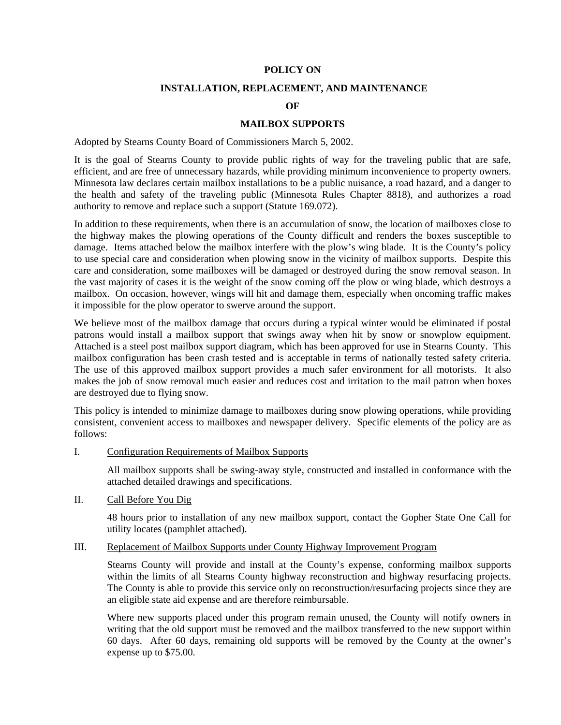### **POLICY ON**

### **INSTALLATION, REPLACEMENT, AND MAINTENANCE**

### **OF**

### **MAILBOX SUPPORTS**

Adopted by Stearns County Board of Commissioners March 5, 2002.

It is the goal of Stearns County to provide public rights of way for the traveling public that are safe, efficient, and are free of unnecessary hazards, while providing minimum inconvenience to property owners. Minnesota law declares certain mailbox installations to be a public nuisance, a road hazard, and a danger to the health and safety of the traveling public (Minnesota Rules Chapter 8818), and authorizes a road authority to remove and replace such a support (Statute 169.072).

In addition to these requirements, when there is an accumulation of snow, the location of mailboxes close to the highway makes the plowing operations of the County difficult and renders the boxes susceptible to damage. Items attached below the mailbox interfere with the plow's wing blade. It is the County's policy to use special care and consideration when plowing snow in the vicinity of mailbox supports. Despite this care and consideration, some mailboxes will be damaged or destroyed during the snow removal season. In the vast majority of cases it is the weight of the snow coming off the plow or wing blade, which destroys a mailbox. On occasion, however, wings will hit and damage them, especially when oncoming traffic makes it impossible for the plow operator to swerve around the support.

We believe most of the mailbox damage that occurs during a typical winter would be eliminated if postal patrons would install a mailbox support that swings away when hit by snow or snowplow equipment. Attached is a steel post mailbox support diagram, which has been approved for use in Stearns County. This mailbox configuration has been crash tested and is acceptable in terms of nationally tested safety criteria. The use of this approved mailbox support provides a much safer environment for all motorists. It also makes the job of snow removal much easier and reduces cost and irritation to the mail patron when boxes are destroyed due to flying snow.

This policy is intended to minimize damage to mailboxes during snow plowing operations, while providing consistent, convenient access to mailboxes and newspaper delivery. Specific elements of the policy are as follows:

I. Configuration Requirements of Mailbox Supports

All mailbox supports shall be swing-away style, constructed and installed in conformance with the attached detailed drawings and specifications.

## II. Call Before You Dig

48 hours prior to installation of any new mailbox support, contact the Gopher State One Call for utility locates (pamphlet attached).

### III. Replacement of Mailbox Supports under County Highway Improvement Program

Stearns County will provide and install at the County's expense, conforming mailbox supports within the limits of all Stearns County highway reconstruction and highway resurfacing projects. The County is able to provide this service only on reconstruction/resurfacing projects since they are an eligible state aid expense and are therefore reimbursable.

Where new supports placed under this program remain unused, the County will notify owners in writing that the old support must be removed and the mailbox transferred to the new support within 60 days. After 60 days, remaining old supports will be removed by the County at the owner's expense up to \$75.00.